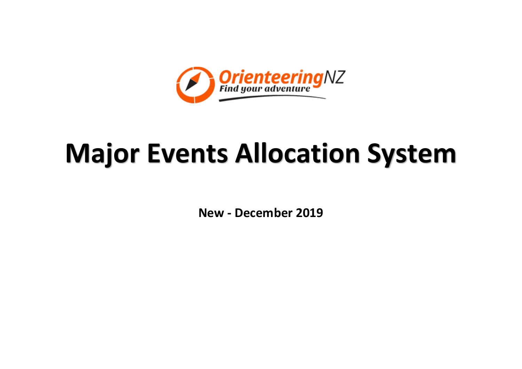

# **Major Events Allocation System**

**New - December 2019**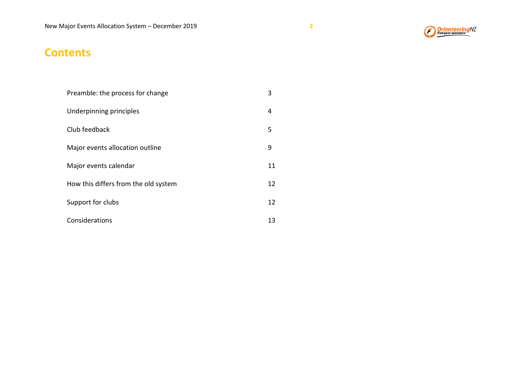#### **Contents**

| Preamble: the process for change     | 3  |
|--------------------------------------|----|
| Underpinning principles              | 4  |
| Club feedback                        | 5  |
| Major events allocation outline      | 9  |
| Major events calendar                | 11 |
| How this differs from the old system | 12 |
| Support for clubs                    | 12 |
| Considerations                       | 13 |

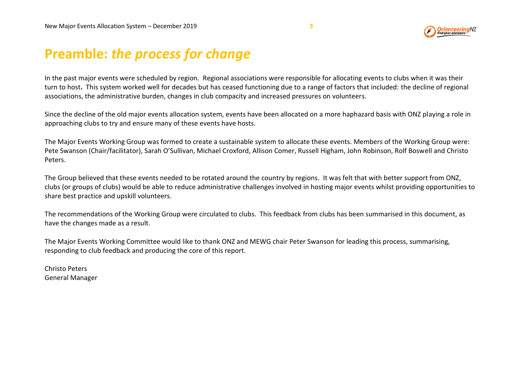#### **OrienteeringNZ**

# **Preamble:** *the process for change*

In the past major events were scheduled by region. Regional associations were responsible for allocating events to clubs when it was their turn to host**.** This system worked well for decades but has ceased functioning due to a range of factors that included: the decline of regional associations, the administrative burden, changes in club compacity and increased pressures on volunteers.

Since the decline of the old major events allocation system, events have been allocated on a more haphazard basis with ONZ playing a role in approaching clubs to try and ensure many of these events have hosts.

The Major Events Working Group was formed to create a sustainable system to allocate these events. Members of the Working Group were: Pete Swanson (Chair/facilitator), Sarah O'Sullivan, Michael Croxford, Allison Comer, Russell Higham, John Robinson, Rolf Boswell and Christo Peters.

The Group believed that these events needed to be rotated around the country by regions. It was felt that with better support from ONZ, clubs (or groups of clubs) would be able to reduce administrative challenges involved in hosting major events whilst providing opportunities to share best practice and upskill volunteers.

The recommendations of the Working Group were circulated to clubs. This feedback from clubs has been summarised in this document, as have the changes made as a result.

The Major Events Working Committee would like to thank ONZ and MEWG chair Peter Swanson for leading this process, summarising, responding to club feedback and producing the core of this report.

Christo Peters General Manager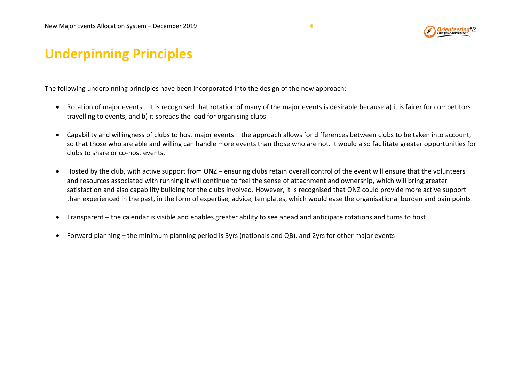



# **Underpinning Principles**

The following underpinning principles have been incorporated into the design of the new approach:

- Rotation of major events it is recognised that rotation of many of the major events is desirable because a) it is fairer for competitors travelling to events, and b) it spreads the load for organising clubs
- Capability and willingness of clubs to host major events the approach allows for differences between clubs to be taken into account, so that those who are able and willing can handle more events than those who are not. It would also facilitate greater opportunities for clubs to share or co-host events.
- Hosted by the club, with active support from ONZ ensuring clubs retain overall control of the event will ensure that the volunteers and resources associated with running it will continue to feel the sense of attachment and ownership, which will bring greater satisfaction and also capability building for the clubs involved. However, it is recognised that ONZ could provide more active support than experienced in the past, in the form of expertise, advice, templates, which would ease the organisational burden and pain points.
- Transparent the calendar is visible and enables greater ability to see ahead and anticipate rotations and turns to host
- Forward planning the minimum planning period is 3yrs (nationals and QB), and 2yrs for other major events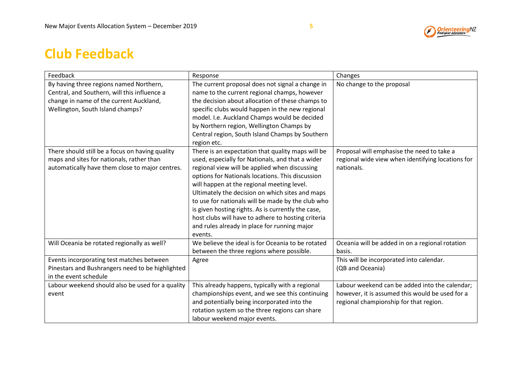



# **Club Feedback**

| Feedback                                         | Response                                           | Changes                                           |
|--------------------------------------------------|----------------------------------------------------|---------------------------------------------------|
| By having three regions named Northern,          | The current proposal does not signal a change in   | No change to the proposal                         |
| Central, and Southern, will this influence a     | name to the current regional champs, however       |                                                   |
| change in name of the current Auckland,          | the decision about allocation of these champs to   |                                                   |
| Wellington, South Island champs?                 | specific clubs would happen in the new regional    |                                                   |
|                                                  | model. I.e. Auckland Champs would be decided       |                                                   |
|                                                  | by Northern region, Wellington Champs by           |                                                   |
|                                                  | Central region, South Island Champs by Southern    |                                                   |
|                                                  | region etc.                                        |                                                   |
| There should still be a focus on having quality  | There is an expectation that quality maps will be  | Proposal will emphasise the need to take a        |
| maps and sites for nationals, rather than        | used, especially for Nationals, and that a wider   | regional wide view when identifying locations for |
| automatically have them close to major centres.  | regional view will be applied when discussing      | nationals.                                        |
|                                                  | options for Nationals locations. This discussion   |                                                   |
|                                                  | will happen at the regional meeting level.         |                                                   |
|                                                  | Ultimately the decision on which sites and maps    |                                                   |
|                                                  | to use for nationals will be made by the club who  |                                                   |
|                                                  | is given hosting rights. As is currently the case, |                                                   |
|                                                  | host clubs will have to adhere to hosting criteria |                                                   |
|                                                  | and rules already in place for running major       |                                                   |
|                                                  | events.                                            |                                                   |
| Will Oceania be rotated regionally as well?      | We believe the ideal is for Oceania to be rotated  | Oceania will be added in on a regional rotation   |
|                                                  | between the three regions where possible.          | basis.                                            |
| Events incorporating test matches between        | Agree                                              | This will be incorporated into calendar.          |
| Pinestars and Bushrangers need to be highlighted |                                                    | (QB and Oceania)                                  |
| in the event schedule                            |                                                    |                                                   |
| Labour weekend should also be used for a quality | This already happens, typically with a regional    | Labour weekend can be added into the calendar;    |
| event                                            | championships event, and we see this continuing    | however, it is assumed this would be used for a   |
|                                                  | and potentially being incorporated into the        | regional championship for that region.            |
|                                                  | rotation system so the three regions can share     |                                                   |
|                                                  | labour weekend major events.                       |                                                   |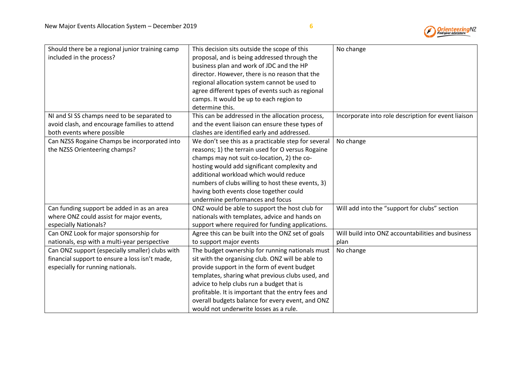

| Should there be a regional junior training camp | This decision sits outside the scope of this        | No change                                           |
|-------------------------------------------------|-----------------------------------------------------|-----------------------------------------------------|
|                                                 |                                                     |                                                     |
| included in the process?                        | proposal, and is being addressed through the        |                                                     |
|                                                 | business plan and work of JDC and the HP            |                                                     |
|                                                 | director. However, there is no reason that the      |                                                     |
|                                                 | regional allocation system cannot be used to        |                                                     |
|                                                 | agree different types of events such as regional    |                                                     |
|                                                 | camps. It would be up to each region to             |                                                     |
|                                                 | determine this.                                     |                                                     |
| NI and SI SS champs need to be separated to     | This can be addressed in the allocation process,    | Incorporate into role description for event liaison |
| avoid clash, and encourage families to attend   | and the event liaison can ensure these types of     |                                                     |
| both events where possible                      | clashes are identified early and addressed.         |                                                     |
| Can NZSS Rogaine Champs be incorporated into    | We don't see this as a practicable step for several | No change                                           |
| the NZSS Orienteering champs?                   | reasons; 1) the terrain used for O versus Rogaine   |                                                     |
|                                                 | champs may not suit co-location, 2) the co-         |                                                     |
|                                                 | hosting would add significant complexity and        |                                                     |
|                                                 | additional workload which would reduce              |                                                     |
|                                                 | numbers of clubs willing to host these events, 3)   |                                                     |
|                                                 | having both events close together could             |                                                     |
|                                                 |                                                     |                                                     |
|                                                 | undermine performances and focus                    |                                                     |
| Can funding support be added in as an area      | ONZ would be able to support the host club for      | Will add into the "support for clubs" section       |
| where ONZ could assist for major events,        | nationals with templates, advice and hands on       |                                                     |
| especially Nationals?                           | support where required for funding applications.    |                                                     |
| Can ONZ Look for major sponsorship for          | Agree this can be built into the ONZ set of goals   | Will build into ONZ accountabilities and business   |
| nationals, esp with a multi-year perspective    | to support major events                             | plan                                                |
| Can ONZ support (especially smaller) clubs with | The budget ownership for running nationals must     | No change                                           |
| financial support to ensure a loss isn't made,  | sit with the organising club. ONZ will be able to   |                                                     |
| especially for running nationals.               | provide support in the form of event budget         |                                                     |
|                                                 | templates, sharing what previous clubs used, and    |                                                     |
|                                                 | advice to help clubs run a budget that is           |                                                     |
|                                                 | profitable. It is important that the entry fees and |                                                     |
|                                                 | overall budgets balance for every event, and ONZ    |                                                     |
|                                                 | would not underwrite losses as a rule.              |                                                     |
|                                                 |                                                     |                                                     |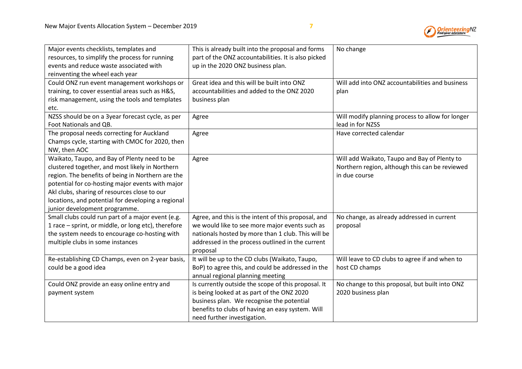

| Major events checklists, templates and<br>resources, to simplify the process for running<br>events and reduce waste associated with<br>reinventing the wheel each year                                                                                                                                                                          | This is already built into the proposal and forms<br>part of the ONZ accountabilities. It is also picked<br>up in the 2020 ONZ business plan.                                                                                     | No change                                                                                                       |
|-------------------------------------------------------------------------------------------------------------------------------------------------------------------------------------------------------------------------------------------------------------------------------------------------------------------------------------------------|-----------------------------------------------------------------------------------------------------------------------------------------------------------------------------------------------------------------------------------|-----------------------------------------------------------------------------------------------------------------|
| Could ONZ run event management workshops or<br>training, to cover essential areas such as H&S,<br>risk management, using the tools and templates<br>etc.                                                                                                                                                                                        | Great idea and this will be built into ONZ<br>accountabilities and added to the ONZ 2020<br>business plan                                                                                                                         | Will add into ONZ accountabilities and business<br>plan                                                         |
| NZSS should be on a 3year forecast cycle, as per<br>Foot Nationals and QB.                                                                                                                                                                                                                                                                      | Agree                                                                                                                                                                                                                             | Will modify planning process to allow for longer<br>lead in for NZSS                                            |
| The proposal needs correcting for Auckland<br>Champs cycle, starting with CMOC for 2020, then<br>NW, then AOC                                                                                                                                                                                                                                   | Agree                                                                                                                                                                                                                             | Have corrected calendar                                                                                         |
| Waikato, Taupo, and Bay of Plenty need to be<br>clustered together, and most likely in Northern<br>region. The benefits of being in Northern are the<br>potential for co-hosting major events with major<br>Akl clubs, sharing of resources close to our<br>locations, and potential for developing a regional<br>junior development programme. | Agree                                                                                                                                                                                                                             | Will add Waikato, Taupo and Bay of Plenty to<br>Northern region, although this can be reviewed<br>in due course |
| Small clubs could run part of a major event (e.g.<br>1 race - sprint, or middle, or long etc), therefore<br>the system needs to encourage co-hosting with<br>multiple clubs in some instances                                                                                                                                                   | Agree, and this is the intent of this proposal, and<br>we would like to see more major events such as<br>nationals hosted by more than 1 club. This will be<br>addressed in the process outlined in the current<br>proposal       | No change, as already addressed in current<br>proposal                                                          |
| Re-establishing CD Champs, even on 2-year basis,<br>could be a good idea                                                                                                                                                                                                                                                                        | It will be up to the CD clubs (Waikato, Taupo,<br>BoP) to agree this, and could be addressed in the<br>annual regional planning meeting                                                                                           | Will leave to CD clubs to agree if and when to<br>host CD champs                                                |
| Could ONZ provide an easy online entry and<br>payment system                                                                                                                                                                                                                                                                                    | Is currently outside the scope of this proposal. It<br>is being looked at as part of the ONZ 2020<br>business plan. We recognise the potential<br>benefits to clubs of having an easy system. Will<br>need further investigation. | No change to this proposal, but built into ONZ<br>2020 business plan                                            |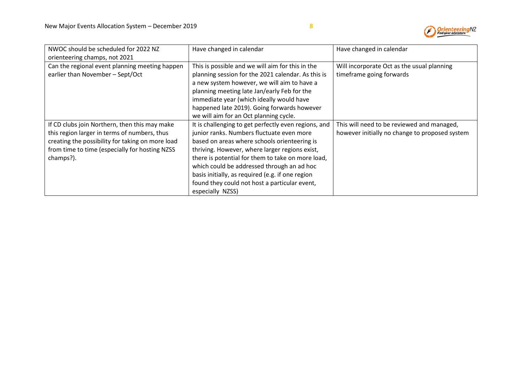

| NWOC should be scheduled for 2022 NZ<br>orienteering champs, not 2021                                                                                                                                            | Have changed in calendar                                                                                                                                                                                                                                                                                                                                                                                                        | Have changed in calendar                                                                     |
|------------------------------------------------------------------------------------------------------------------------------------------------------------------------------------------------------------------|---------------------------------------------------------------------------------------------------------------------------------------------------------------------------------------------------------------------------------------------------------------------------------------------------------------------------------------------------------------------------------------------------------------------------------|----------------------------------------------------------------------------------------------|
| Can the regional event planning meeting happen<br>earlier than November - Sept/Oct                                                                                                                               | This is possible and we will aim for this in the<br>planning session for the 2021 calendar. As this is<br>a new system however, we will aim to have a<br>planning meeting late Jan/early Feb for the<br>immediate year (which ideally would have<br>happened late 2019). Going forwards however<br>we will aim for an Oct planning cycle.                                                                                       | Will incorporate Oct as the usual planning<br>timeframe going forwards                       |
| If CD clubs join Northern, then this may make<br>this region larger in terms of numbers, thus<br>creating the possibility for taking on more load<br>from time to time (especially for hosting NZSS<br>champs?). | It is challenging to get perfectly even regions, and<br>junior ranks. Numbers fluctuate even more<br>based on areas where schools orienteering is<br>thriving. However, where larger regions exist,<br>there is potential for them to take on more load,<br>which could be addressed through an ad hoc<br>basis initially, as required (e.g. if one region<br>found they could not host a particular event,<br>especially NZSS) | This will need to be reviewed and managed,<br>however initially no change to proposed system |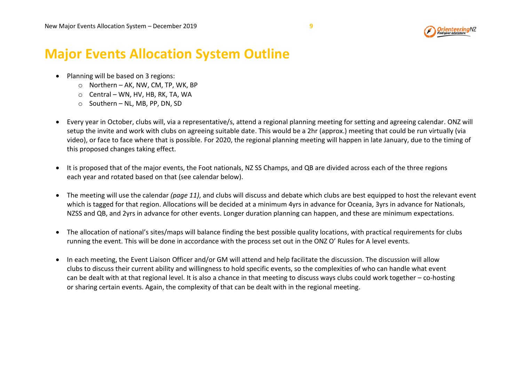#### **Major Events Allocation System Outline**

- Planning will be based on 3 regions:
	- o Northern AK, NW, CM, TP, WK, BP
	- o Central WN, HV, HB, RK, TA, WA
	- o Southern NL, MB, PP, DN, SD
- Every year in October, clubs will, via a representative/s, attend a regional planning meeting for setting and agreeing calendar. ONZ will setup the invite and work with clubs on agreeing suitable date. This would be a 2hr (approx.) meeting that could be run virtually (via video), or face to face where that is possible. For 2020, the regional planning meeting will happen in late January, due to the timing of this proposed changes taking effect.
- It is proposed that of the major events, the Foot nationals, NZ SS Champs, and QB are divided across each of the three regions each year and rotated based on that (see calendar below).
- The meeting will use the calendar *(page 11)*, and clubs will discuss and debate which clubs are best equipped to host the relevant event which is tagged for that region. Allocations will be decided at a minimum 4yrs in advance for Oceania, 3yrs in advance for Nationals, NZSS and QB, and 2yrs in advance for other events. Longer duration planning can happen, and these are minimum expectations.
- The allocation of national's sites/maps will balance finding the best possible quality locations, with practical requirements for clubs running the event. This will be done in accordance with the process set out in the ONZ O' Rules for A level events.
- In each meeting, the Event Liaison Officer and/or GM will attend and help facilitate the discussion. The discussion will allow clubs to discuss their current ability and willingness to hold specific events, so the complexities of who can handle what event can be dealt with at that regional level. It is also a chance in that meeting to discuss ways clubs could work together – co-hosting or sharing certain events. Again, the complexity of that can be dealt with in the regional meeting.

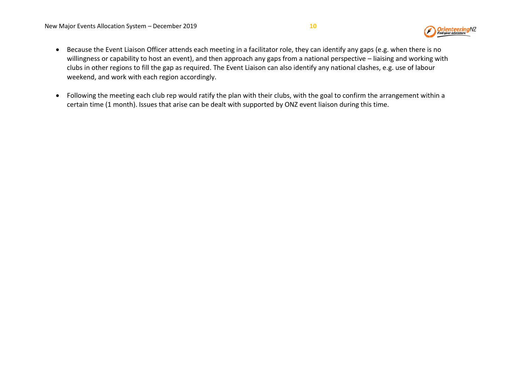- Because the Event Liaison Officer attends each meeting in a facilitator role, they can identify any gaps (e.g. when there is no willingness or capability to host an event), and then approach any gaps from a national perspective – liaising and working with clubs in other regions to fill the gap as required. The Event Liaison can also identify any national clashes, e.g. use of labour weekend, and work with each region accordingly.
- Following the meeting each club rep would ratify the plan with their clubs, with the goal to confirm the arrangement within a certain time (1 month). Issues that arise can be dealt with supported by ONZ event liaison during this time.

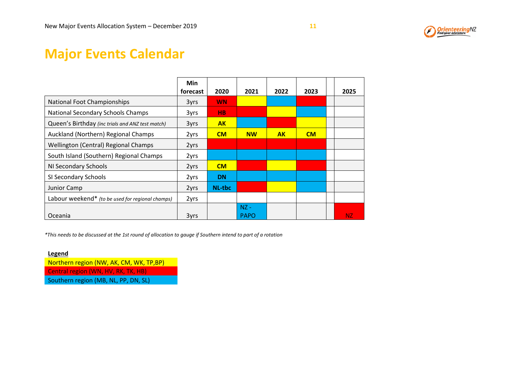

### **Major Events Calendar**

|                                                  | <b>Min</b><br>forecast | 2020          | 2021                  | 2022 | 2023 | 2025 |
|--------------------------------------------------|------------------------|---------------|-----------------------|------|------|------|
| <b>National Foot Championships</b>               | 3yrs                   | <b>WN</b>     |                       |      |      |      |
| <b>National Secondary Schools Champs</b>         | 3yrs                   | HB.           |                       |      |      |      |
| Queen's Birthday (inc trials and ANZ test match) | 3yrs                   | <b>AK</b>     |                       |      |      |      |
| Auckland (Northern) Regional Champs              | 2yrs                   | CM            | <b>NW</b>             | AK   | CM   |      |
| Wellington (Central) Regional Champs             | 2yrs                   |               |                       |      |      |      |
| South Island (Southern) Regional Champs          | 2yrs                   |               |                       |      |      |      |
| NI Secondary Schools                             | 2yrs                   | CM            |                       |      |      |      |
| SI Secondary Schools                             | 2yrs                   | <b>DN</b>     |                       |      |      |      |
| Junior Camp                                      | 2yrs                   | <b>NL-tbc</b> |                       |      |      |      |
| Labour weekend* (to be used for regional champs) | 2yrs                   |               |                       |      |      |      |
| Oceania                                          | 3yrs                   |               | $NZ -$<br><b>PAPO</b> |      |      | NZ.  |

*\*This needs to be discussed at the 1st round of allocation to gauge if Southern intend to part of a rotation*

**Legend**

Northern region (NW, AK, CM, WK, TP,BP) Central region (WN, HV, RK, TK, HB) Southern region (MB, NL, PP, DN, SL)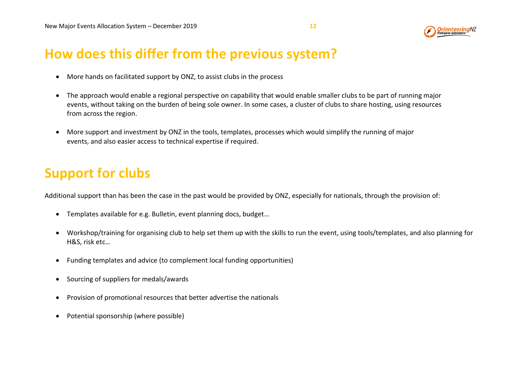### **How does this differ from the previous system?**

- More hands on facilitated support by ONZ, to assist clubs in the process
- The approach would enable a regional perspective on capability that would enable smaller clubs to be part of running major events, without taking on the burden of being sole owner. In some cases, a cluster of clubs to share hosting, using resources from across the region.
- More support and investment by ONZ in the tools, templates, processes which would simplify the running of major events, and also easier access to technical expertise if required.

# **Support for clubs**

Additional support than has been the case in the past would be provided by ONZ, especially for nationals, through the provision of:

- Templates available for e.g. Bulletin, event planning docs, budget…
- Workshop/training for organising club to help set them up with the skills to run the event, using tools/templates, and also planning for H&S, risk etc…
- Funding templates and advice (to complement local funding opportunities)
- Sourcing of suppliers for medals/awards
- Provision of promotional resources that better advertise the nationals
- Potential sponsorship (where possible)

**OrienteeringNZ**